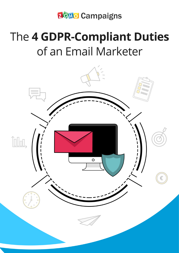**20Ho Campaigns** 

# The 4 GDPR-Compliant Duties of an Email Marketer

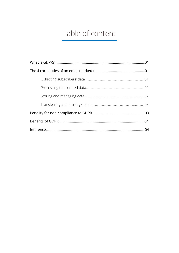### Table of content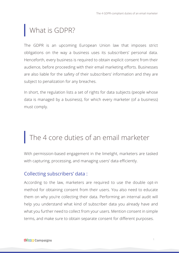### <span id="page-2-0"></span>What is GDPR?

The GDPR is an upcoming European Union law that imposes strict obligations on the way a business uses its subscribers' personal data. Henceforth, every business is required to obtain explicit consent from their audience, before proceeding with their email marketing efforts. Businesses are also liable for the safety of their subscribers' information and they are subject to penalization for any breaches.

In short, the regulation lists a set of rights for data subjects (people whose data is managed by a business), for which every marketer (of a business) must comply.

## The 4 core duties of an email marketer

With permission-based engagement in the limelight, marketers are tasked with capturing, processing, and managing users' data efficiently.

#### Collecting subscribers' data :

According to the law, marketers are required to use the double opt-in method for obtaining consent from their users. You also need to educate them on why you're collecting their data. Performing an internal audit will help you understand what kind of subscriber data you already have and what you further need to collect from your users. Mention consent in simple terms, and make sure to obtain separate consent for different purposes.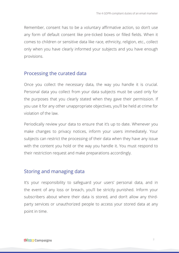<span id="page-3-0"></span>Remember, consent has to be a voluntary affirmative action, so don't use any form of default consent like pre-ticked boxes or filled fields. When it comes to children or sensitive data like race, ethnicity, religion, etc., collect only when you have clearly informed your subjects and you have enough provisions.

#### Processing the curated data

Once you collect the necessary data, the way you handle it is crucial. Personal data you collect from your data subjects must be used only for the purposes that you clearly stated when they gave their permission. If you use it for any other unappropriate objectives, you'll be held at crime for violation of the law.

Periodically review your data to ensure that it's up to date. Whenever you make changes to privacy notices, inform your users immediately. Your subjects can restrict the processing of their data when they have any issue with the content you hold or the way you handle it. You must respond to their restriction request and make preparations accordingly.

#### Storing and managing data

It's your responsibility to safeguard your users' personal data, and in the event of any loss or breach, you'll be strictly punished. Inform your subscribers about where their data is stored, and don't allow any thirdparty services or unauthorized people to access your stored data at any point in time.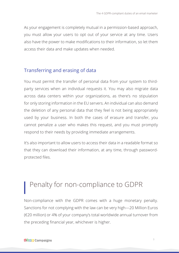<span id="page-4-0"></span>As your engagement is completely mutual in a permission-based approach, you must allow your users to opt out of your service at any time. Users also have the power to make modifications to their information, so let them access their data and make updates when needed.

#### Transferring and erasing of data

You must permit the transfer of personal data from your system to thirdparty services when an individual requests it. You may also migrate data across data centers within your organizations, as there's no stipulation for only storing information in the EU servers. An individual can also demand the deletion of any personal data that they feel is not being appropriately used by your business. In both the cases of erasure and transfer, you cannot penalize a user who makes this request, and you must promptly respond to their needs by providing immediate arrangements.

It's also important to allow users to access their data in a readable format so that they can download their information, at any time, through passwordprotected files.

### Penalty for non-compliance to GDPR

Non-compliance with the GDPR comes with a huge monetary penalty. Sanctions for not complying with the law can be very high—20 Million Euros (€20 million) or 4% of your company's total worldwide annual turnover from the preceding financial year, whichever is higher.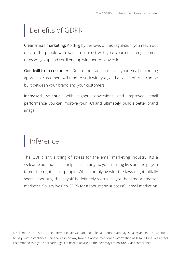## <span id="page-5-0"></span>Benefits of GDPR

Clean email marketing: Abiding by the laws of this regulation, you reach out only to the people who want to connect with you. Your email engagement rates will go up and you'll end up with better conversions.

Goodwill from customers: Due to the transparency in your email marketing approach, customers will tend to stick with you, and a sense of trust can be built between your brand and your customers.

Increased revenue: With higher conversions and improved email performance, you can improve your ROI and, ultimately, build a better brand image.

## Inference

The GDPR isn't a thing of stress for the email marketing industry. It's a welcome addition, as it helps in cleaning up your mailing lists and helps you target the right set of people. While complying with the laws might initially seem laborious, the payoff is definitely worth it—you become a smarter marketer! So, say "yes" to GDPR for a robust and successful email marketing.

**4** to help with compliance. You should in no way take the above mentioned information as legal advice. We always Disclaimer: GDPR security requirements are vast and complex and Zoho Campaigns has given its best solutions recommend that you approach legal counsel to advise on the best ways to ensure GDPR compliance.